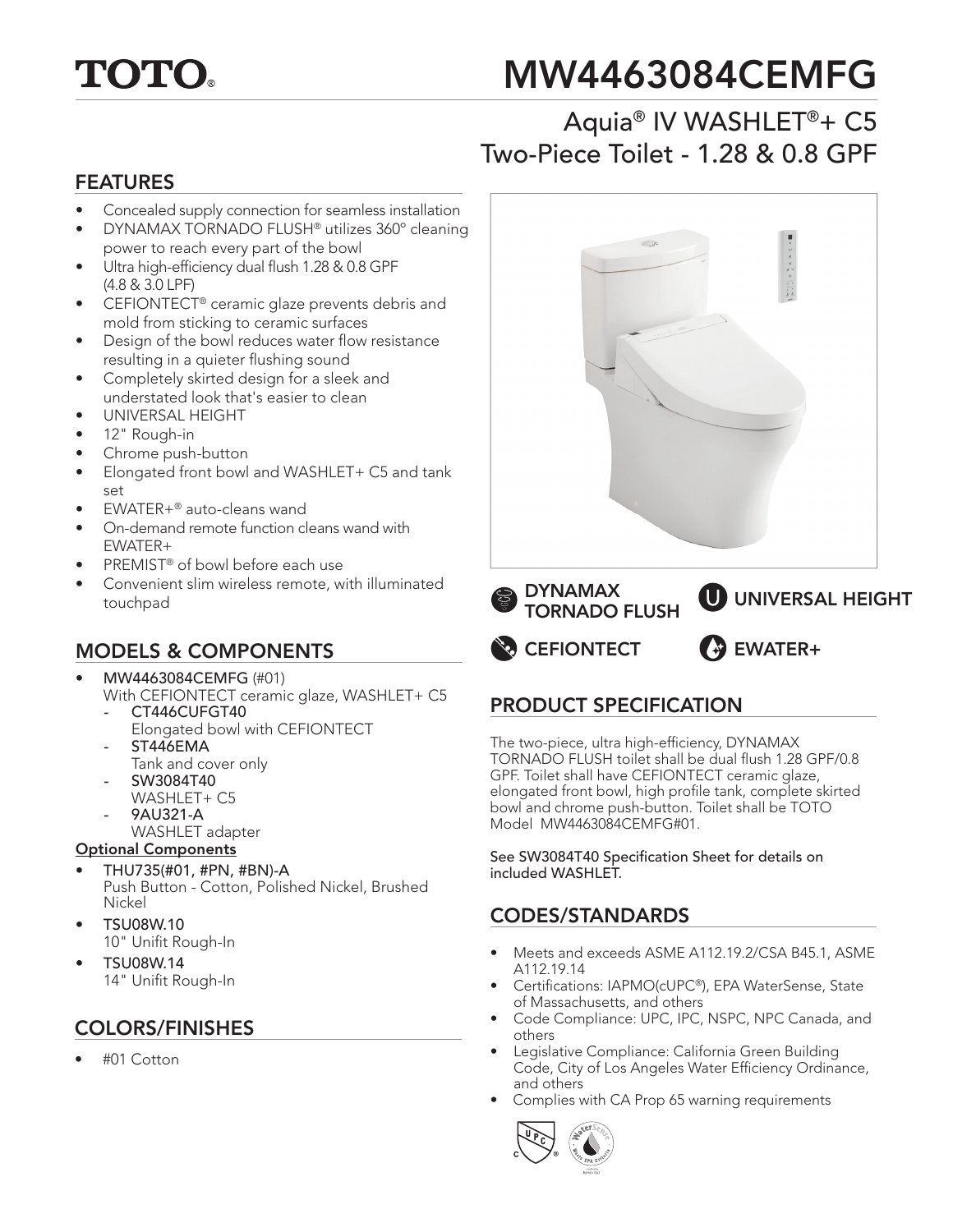

# MW4463084CEMFG

# Aquia® IV WASHLET®+ C5 Two-Piece Toilet - 1.28 & 0.8 GPF

#### FEATURES

- Concealed supply connection for seamless installation
- DYNAMAX TORNADO FLUSH® utilizes 360º cleaning power to reach every part of the bowl
- Ultra high-efficiency dual flush 1.28 & 0.8 GPF (4.8 & 3.0 LPF)
- CEFIONTECT® ceramic glaze prevents debris and mold from sticking to ceramic surfaces
- Design of the bowl reduces water flow resistance resulting in a quieter flushing sound
- Completely skirted design for a sleek and understated look that's easier to clean
- UNIVERSAL HEIGHT
- 12" Rough-in
- Chrome push-button
- Elongated front bowl and WASHLET+ C5 and tank set
- EWATER+® auto-cleans wand
- On-demand remote function cleans wand with EWATER+
- PREMIST<sup>®</sup> of bowl before each use
- Convenient slim wireless remote, with illuminated touchpad

# MODELS & COMPONENTS

#### • MW4463084CEMFG (#01)

- With CEFIONTECT ceramic glaze, WASHLET+ C5 *-* CT446CUFGT40
	- Elongated bowl with CEFIONTECT *-* ST446EMA
	- Tank and cover only
- SW3084T40
- WASHLET+ C5
- 9AU321-A
	- WASHLET adapter

#### Optional Components

- THU735(#01, #PN, #BN)-A Push Button - Cotton, Polished Nickel, Brushed Nickel
- TSU08W.10 10" Unifit Rough-In
- TSU08W.14 14" Unifit Rough-In

## COLORS/FINISHES

• #01 Cotton



# PRODUCT SPECIFICATION

The two-piece, ultra high-efficiency, DYNAMAX TORNADO FLUSH toilet shall be dual flush 1.28 GPF/0.8 GPF. Toilet shall have CEFIONTECT ceramic glaze, elongated front bowl, high profile tank, complete skirted bowl and chrome push-button. Toilet shall be TOTO Model MW4463084CEMFG#01.

See SW3084T40 Specification Sheet for details on included WASHLET.

## CODES/STANDARDS

- Meets and exceeds ASME A112.19.2/CSA B45.1, ASME A112.19.14
- Certifications: IAPMO(cUPC®), EPA WaterSense, State of Massachusetts, and others
- Code Compliance: UPC, IPC, NSPC, NPC Canada, and others
- Legislative Compliance: California Green Building Code, City of Los Angeles Water Efficiency Ordinance, and others
- Complies with CA Prop 65 warning requirements